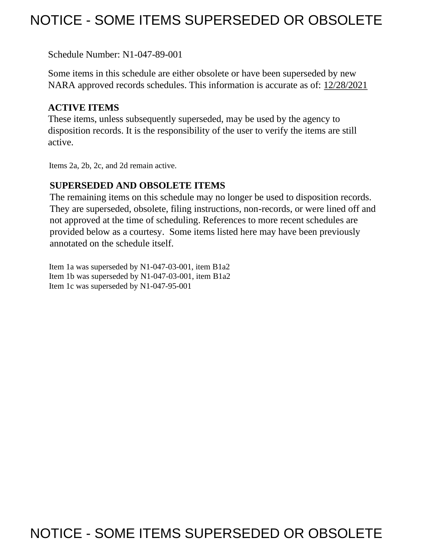# NOTICE - SOME ITEMS SUPERSEDED OR OBSOLETE

Schedule Number: N1-047-89-001

 Some items in this schedule are either obsolete or have been superseded by new NARA approved records schedules. This information is accurate as of: 12/28/2021

# **ACTIVE ITEMS**

 These items, unless subsequently superseded, may be used by the agency to disposition records. It is the responsibility of the user to verify the items are still active.

Items 2a, 2b, 2c, and 2d remain active.

# **SUPERSEDED AND OBSOLETE ITEMS**

 The remaining items on this schedule may no longer be used to disposition records. not approved at the time of scheduling. References to more recent schedules are provided below as a courtesy. Some items listed here may have been previously They are superseded, obsolete, filing instructions, non-records, or were lined off and annotated on the schedule itself.

Item 1a was superseded by N1-047-03-001, item B1a2 Item 1b was superseded by N1-047-03-001, item B1a2 Item 1c was superseded by N1-047-95-001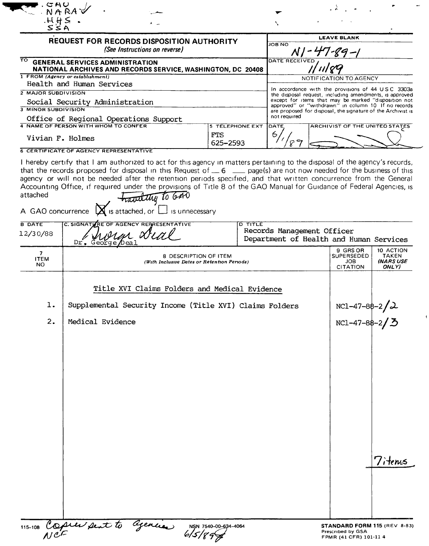| <b>LEAVE BLANK</b><br><b>REQUEST FOR RECORDS DISPOSITION AUTHORITY</b><br><b>JOB NO</b><br>(See Instructions on reverse)<br>DATE RECEIVED<br><b>GENERAL SERVICES ADMINISTRATION</b><br>NATIONAL ARCHIVES AND RECORDS SERVICE, WASHINGTON, DC 20408<br>NOTIFICATION TO AGENCY<br>Health and Human Services<br>In accordance with the provisions of 44 USC 3303a<br>the disposal request, including amendments, is approved<br>except for items that may be marked "disposition not<br>Social Security Administration<br>approved" or "withdrawn" in column 10 If no records<br>are proposed for disposal, the signature of the Archivist is<br>not required<br>Office of Regional Operations Support<br>4 NAME OF PERSON WITH WHOM TO CONFER<br><b>5 TELEPHONE EXT</b><br>ARCHIVIST OF THE UNITED STATES<br>DATE<br>6<br><b>FTS</b><br>89<br>625-2593<br><b>6 CERTIFICATE OF AGENCY REPRESENTATIVE</b><br>I hereby certify that I am authorized to act for this agency in matters pertaining to the disposal of the agency's records,<br>that the records proposed for disposal in this Request of $\_\_6$ $\_\_$ page(s) are not now needed for the business of this<br>agency or will not be needed after the retention periods specified, and that written concurrence from the General<br>Accounting Office, if required under the provisions of Title 8 of the GAO Manual for Guidance of Federal Agencies, is<br>traveliting to GAO<br>is attached, or<br>is unnecessary<br>C. SIGNATIVRE OF AGENCY REPRESENTATIVE<br><b>D TITLE</b><br>Records Management Officer<br>Department of Health and Human Services<br>Dr. George Dea<br>9 GRS OR<br>10 ACTION<br>SUPERSEDED<br><b>TAKEN</b><br>8 DESCRIPTION OF ITEM<br><b>INARS USE</b><br>JOB.<br>(With Inclusive Dates or Retention Periods)<br><b>CITATION</b><br>ONLY) |
|-----------------------------------------------------------------------------------------------------------------------------------------------------------------------------------------------------------------------------------------------------------------------------------------------------------------------------------------------------------------------------------------------------------------------------------------------------------------------------------------------------------------------------------------------------------------------------------------------------------------------------------------------------------------------------------------------------------------------------------------------------------------------------------------------------------------------------------------------------------------------------------------------------------------------------------------------------------------------------------------------------------------------------------------------------------------------------------------------------------------------------------------------------------------------------------------------------------------------------------------------------------------------------------------------------------------------------------------------------------------------------------------------------------------------------------------------------------------------------------------------------------------------------------------------------------------------------------------------------------------------------------------------------------------------------------------------------------------------------------------------------------------------------------------------------------------------------|
|                                                                                                                                                                                                                                                                                                                                                                                                                                                                                                                                                                                                                                                                                                                                                                                                                                                                                                                                                                                                                                                                                                                                                                                                                                                                                                                                                                                                                                                                                                                                                                                                                                                                                                                                                                                                                             |
|                                                                                                                                                                                                                                                                                                                                                                                                                                                                                                                                                                                                                                                                                                                                                                                                                                                                                                                                                                                                                                                                                                                                                                                                                                                                                                                                                                                                                                                                                                                                                                                                                                                                                                                                                                                                                             |
|                                                                                                                                                                                                                                                                                                                                                                                                                                                                                                                                                                                                                                                                                                                                                                                                                                                                                                                                                                                                                                                                                                                                                                                                                                                                                                                                                                                                                                                                                                                                                                                                                                                                                                                                                                                                                             |
|                                                                                                                                                                                                                                                                                                                                                                                                                                                                                                                                                                                                                                                                                                                                                                                                                                                                                                                                                                                                                                                                                                                                                                                                                                                                                                                                                                                                                                                                                                                                                                                                                                                                                                                                                                                                                             |
|                                                                                                                                                                                                                                                                                                                                                                                                                                                                                                                                                                                                                                                                                                                                                                                                                                                                                                                                                                                                                                                                                                                                                                                                                                                                                                                                                                                                                                                                                                                                                                                                                                                                                                                                                                                                                             |
|                                                                                                                                                                                                                                                                                                                                                                                                                                                                                                                                                                                                                                                                                                                                                                                                                                                                                                                                                                                                                                                                                                                                                                                                                                                                                                                                                                                                                                                                                                                                                                                                                                                                                                                                                                                                                             |
|                                                                                                                                                                                                                                                                                                                                                                                                                                                                                                                                                                                                                                                                                                                                                                                                                                                                                                                                                                                                                                                                                                                                                                                                                                                                                                                                                                                                                                                                                                                                                                                                                                                                                                                                                                                                                             |
|                                                                                                                                                                                                                                                                                                                                                                                                                                                                                                                                                                                                                                                                                                                                                                                                                                                                                                                                                                                                                                                                                                                                                                                                                                                                                                                                                                                                                                                                                                                                                                                                                                                                                                                                                                                                                             |
|                                                                                                                                                                                                                                                                                                                                                                                                                                                                                                                                                                                                                                                                                                                                                                                                                                                                                                                                                                                                                                                                                                                                                                                                                                                                                                                                                                                                                                                                                                                                                                                                                                                                                                                                                                                                                             |
|                                                                                                                                                                                                                                                                                                                                                                                                                                                                                                                                                                                                                                                                                                                                                                                                                                                                                                                                                                                                                                                                                                                                                                                                                                                                                                                                                                                                                                                                                                                                                                                                                                                                                                                                                                                                                             |
|                                                                                                                                                                                                                                                                                                                                                                                                                                                                                                                                                                                                                                                                                                                                                                                                                                                                                                                                                                                                                                                                                                                                                                                                                                                                                                                                                                                                                                                                                                                                                                                                                                                                                                                                                                                                                             |
|                                                                                                                                                                                                                                                                                                                                                                                                                                                                                                                                                                                                                                                                                                                                                                                                                                                                                                                                                                                                                                                                                                                                                                                                                                                                                                                                                                                                                                                                                                                                                                                                                                                                                                                                                                                                                             |
|                                                                                                                                                                                                                                                                                                                                                                                                                                                                                                                                                                                                                                                                                                                                                                                                                                                                                                                                                                                                                                                                                                                                                                                                                                                                                                                                                                                                                                                                                                                                                                                                                                                                                                                                                                                                                             |
| Title XVI Claims Folders and Medical Evidence<br>Supplemental Security Income (Title XVI) Claims Folders<br>$NC1-47-88-2/\lambda$<br>Medical Evidence<br>$NC1-47-88-2$ / 3<br>7ìtenus                                                                                                                                                                                                                                                                                                                                                                                                                                                                                                                                                                                                                                                                                                                                                                                                                                                                                                                                                                                                                                                                                                                                                                                                                                                                                                                                                                                                                                                                                                                                                                                                                                       |
|                                                                                                                                                                                                                                                                                                                                                                                                                                                                                                                                                                                                                                                                                                                                                                                                                                                                                                                                                                                                                                                                                                                                                                                                                                                                                                                                                                                                                                                                                                                                                                                                                                                                                                                                                                                                                             |

 $\langle$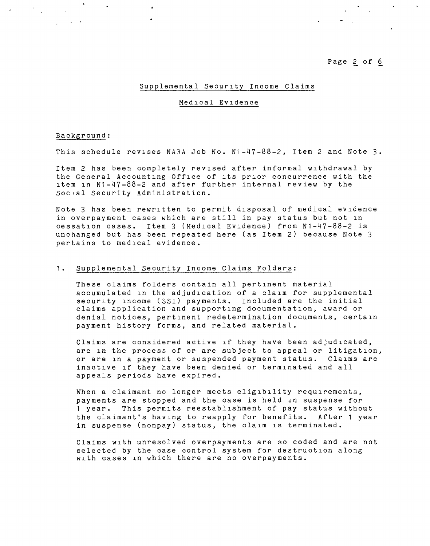Page 2 of 6

 $\mathbf{r} = \mathbf{r} \times \mathbf{r}$  , where  $\mathbf{r} = \mathbf{r}$ 

 $\mathcal{L}^{\text{max}}_{\text{max}}$  and  $\mathcal{L}^{\text{max}}_{\text{max}}$ 

# Supplemental Security Income Claims

#### Medical Evidence

#### Background:

 $\sim 10^{-1}$ 

 $\mathcal{L}^{\text{max}}$  and  $\mathcal{L}^{\text{max}}$ 

This schedule revises NARA Job No. N1-47-88-2, Item 2 and Note 3.

Item 2 has been completely revised after informal withdrawal by the General Accounting Office of its prior concurrence with the item in N1-47-88-2 and after further internal review by the Social Security Administration.

Note 3 has been rewritten to permit disposal of medical evidence in overpayment cases which are still in pay status but not in cessation cases. Item 3 (Medical Evidence) from N1-47-88-2 is unchanged but has been repeated here (as Item 2) because Note 3 pertains to medical evidence.

# 1. Supplemental Security Income Claims Folders:

These claims folders contain all pertinent material accumulated in the adjudication of a claim for supplemental security income (SSI) payments. Included are the initial claims application and supporting documentation, award or denial notices, pertinent redetermination documents, certain payment history forms, and related material.

Claims are considered active if they have been adjudicated, are in the process of or are subject to appeal or litigation, or are in a payment or suspended payment status. Claims are inactive if they have been denied or terminated and all appeals periods have expired.

When a claimant no longer meets eligibility requirements, payments are stopped and the case is held in suspense for 1 year. This permits reestablishment of pay status without the claimant's having to reapply for benefits. After 1 year in suspense (nonpay) status, the claim is terminated.

Claims with unresolved overpayments are so coded and are not selected by the case control system for destruction along with cases in which there are no overpayments.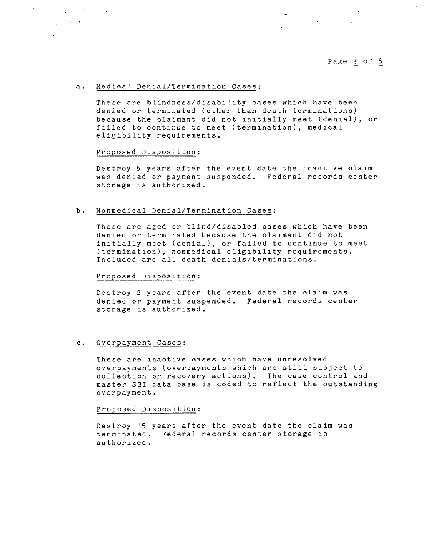$\sim$ 

 $\mathcal{L}^{\mathcal{L}}$  and  $\mathcal{L}^{\mathcal{L}}$  and  $\mathcal{L}^{\mathcal{L}}$  and  $\mathcal{L}^{\mathcal{L}}$ 

# a. Medical Denial/Termination Cases:

These are blindness/disability cases which have been denied or terminated (other than death terminations) because the claimant did not initially meet (denial), or failed to continue to meet (termination), medical eligibility requirements.

### Proposed Disposition:

 $\mathcal{L}^{\text{max}}_{\text{max}}$  and  $\mathcal{L}^{\text{max}}_{\text{max}}$  . The  $\mathcal{L}^{\text{max}}_{\text{max}}$ 

 $\label{eq:2} \frac{1}{\sqrt{2}}\left(\frac{1}{\sqrt{2}}\right)^{2} \left(\frac{1}{\sqrt{2}}\right)^{2} \left(\frac{1}{\sqrt{2}}\right)^{2}$ 

Destroy 5 years after the event date the inactive claim was denied or payment suspended. Federal records center storage is authorized.

# b. Nonmedical Denial/Termination Cases:

These are aged or blind/disabled cases which have been denied or terminated because the claimant did not initially meet (denial), or failed to continue to meet (termination), nonmedical eligibility requirements. Included are all death denials/terminations.

#### Proposed Disposition:

Destroy 2 years after the event date the claim was denied or payment suspended. Federal records center storage is authorized.

#### c. Overpayment Cases:

These are inactive cases which have unresolved overpayments (overpayments which are still subject to collection or recovery actions). The case control and master SSI data base is coded to reflect the outstanding overpayment.

#### Proposed Disposition:

Destroy 15 years after the event date the claim was terminated. Federal records center storage is authorized.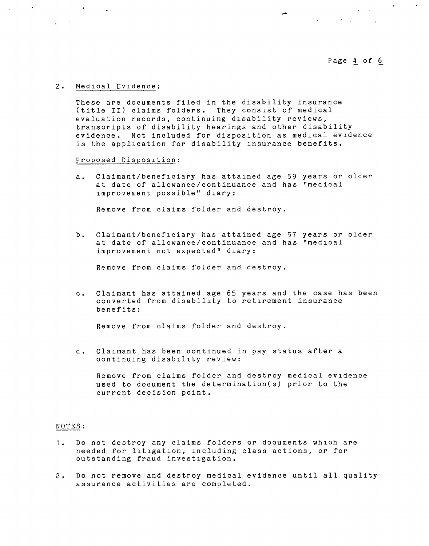# Page 4 of 6

 $\label{eq:2.1} \mathcal{L}(\mathcal{L}^{\mathcal{L}}(\mathcal{L}^{\mathcal{L}}(\mathcal{L}^{\mathcal{L}}(\mathcal{L}^{\mathcal{L}}(\mathcal{L}^{\mathcal{L}}(\mathcal{L}^{\mathcal{L}}(\mathcal{L}^{\mathcal{L}}(\mathcal{L}^{\mathcal{L}}(\mathcal{L}^{\mathcal{L}}(\mathcal{L}^{\mathcal{L}}(\mathcal{L}^{\mathcal{L}}(\mathcal{L}^{\mathcal{L}}(\mathcal{L}^{\mathcal{L}}(\mathcal{L}^{\mathcal{L}}(\mathcal{L}^{\mathcal{L}}(\mathcal{L}^{\mathcal$ 

 $\label{eq:2.1} \frac{1}{\sqrt{2\pi}}\int_{\mathbb{R}^3}\frac{1}{\sqrt{2\pi}}\left(\frac{1}{\sqrt{2\pi}}\right)^2\frac{1}{\sqrt{2\pi}}\frac{1}{\sqrt{2\pi}}\frac{1}{\sqrt{2\pi}}\frac{1}{\sqrt{2\pi}}\frac{1}{\sqrt{2\pi}}\frac{1}{\sqrt{2\pi}}\frac{1}{\sqrt{2\pi}}\frac{1}{\sqrt{2\pi}}\frac{1}{\sqrt{2\pi}}\frac{1}{\sqrt{2\pi}}\frac{1}{\sqrt{2\pi}}\frac{1}{\sqrt{2\pi}}\frac{1}{\sqrt{2\pi}}\frac$ 

 $\sim 100$ 

#### 2. Medical Evidence:

**Contract Contract** 

These are documents filed in the disability insurance (title II) claims folders. They consist of medical evaluation records, continuing disability reviews, transcripts of disability hearings and other disability evidence. Not included for disposition as medical evidence is the application for disability insurance benefits.

Proposed Disposition:

a. Claimant/beneficiary has attained age 59 years or older at date of allowance/continuance and has "medical improvement possible" diary:

Remove from claims folder and destroy.

b. Claimant/beneficiary has attained age 57 years or older at date of allowance/continuance and has "medical improvement not expected" diary:

Remove from claims folder and destroy.

c. Claimant has attained age 65 years and the case has been converted from disability to retirement insurance benefits:

Remove from claims folder and destroy.

d. Claimant has been continued in pay status after a continuing disability review:

Remove from claims folder and destroy medical evidence used to document the determination(s) prior to the current decision point.

#### NOTES:

- 1. Do not destroy any claims folders or documents which are needed for litigation, including class actions, or for outstanding fraud investigation.
- 2. Do not remove and destroy medical evidence until all quality assurance activities are completed.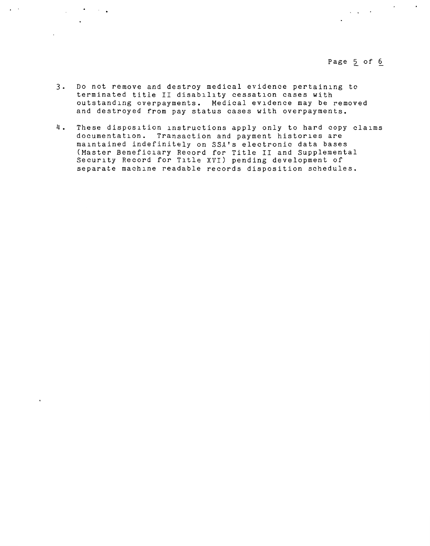Page 5 of 6

 $\label{eq:1} \frac{1}{2}\sum_{i=1}^n\frac{1}{2}\sum_{i=1}^n\frac{1}{2}\sum_{i=1}^n\frac{1}{2}\sum_{i=1}^n\frac{1}{2}\sum_{i=1}^n\frac{1}{2}\sum_{i=1}^n\frac{1}{2}\sum_{i=1}^n\frac{1}{2}\sum_{i=1}^n\frac{1}{2}\sum_{i=1}^n\frac{1}{2}\sum_{i=1}^n\frac{1}{2}\sum_{i=1}^n\frac{1}{2}\sum_{i=1}^n\frac{1}{2}\sum_{i=1}^n\frac{1}{2}\sum_{i=1}^n\frac{$ 

3. Do not remove and destroy medical evidence pertaining to terminated title II disability cessation cases with outstanding overpayments. Medical evidence may be removed and destroyed from pay status cases with overpayments.

 $\mathbf{y} = \mathbf{y}$ 

**Service Contractor** 

4. These disposition instructions apply only to hard copy claims documentation. Transaction and payment histories are maintained indefinitely on SSA's electronic data bases (Master Beneficiary Record for Title II and Supplemental Security Record for Title XVI) pending development of separate machine readable records disposition schedules.